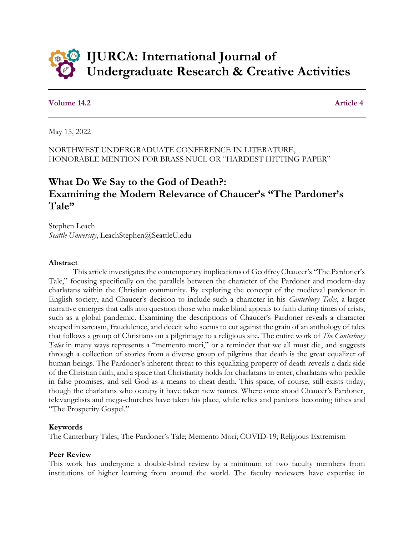

#### **Volume 14.2** Article 4

May 15, 2022

NORTHWEST UNDERGRADUATE CONFERENCE IN LITERATURE, HONORABLE MENTION FOR BRASS NUCL OR "HARDEST HITTING PAPER"

# **What Do We Say to the God of Death?: Examining the Modern Relevance of Chaucer's "The Pardoner's Tale"**

Stephen Leach *Seattle University*, LeachStephen@SeattleU.edu

#### **Abstract**

This article investigates the contemporary implications of Geoffrey Chaucer's "The Pardoner's Tale," focusing specifically on the parallels between the character of the Pardoner and modern-day charlatans within the Christian community. By exploring the concept of the medieval pardoner in English society, and Chaucer's decision to include such a character in his *Canterbury Tales*, a larger narrative emerges that calls into question those who make blind appeals to faith during times of crisis, such as a global pandemic. Examining the descriptions of Chaucer's Pardoner reveals a character steeped in sarcasm, fraudulence, and deceit who seems to cut against the grain of an anthology of tales that follows a group of Christians on a pilgrimage to a religious site. The entire work of *The Canterbury Tales* in many ways represents a "memento mori," or a reminder that we all must die, and suggests through a collection of stories from a diverse group of pilgrims that death is the great equalizer of human beings. The Pardoner's inherent threat to this equalizing property of death reveals a dark side of the Christian faith, and a space that Christianity holds for charlatans to enter, charlatans who peddle in false promises, and sell God as a means to cheat death. This space, of course, still exists today, though the charlatans who occupy it have taken new names. Where once stood Chaucer's Pardoner, televangelists and mega-churches have taken his place, while relics and pardons becoming tithes and "The Prosperity Gospel."

### **Keywords**

The Canterbury Tales; The Pardoner's Tale; Memento Mori; COVID-19; Religious Extremism

### **Peer Review**

This work has undergone a double-blind review by a minimum of two faculty members from institutions of higher learning from around the world. The faculty reviewers have expertise in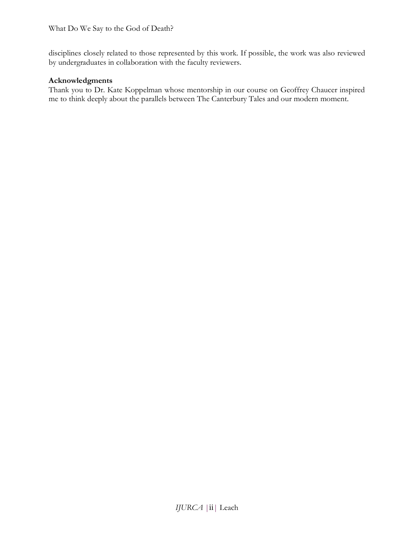disciplines closely related to those represented by this work. If possible, the work was also reviewed by undergraduates in collaboration with the faculty reviewers.

# **Acknowledgments**

Thank you to Dr. Kate Koppelman whose mentorship in our course on Geoffrey Chaucer inspired me to think deeply about the parallels between The Canterbury Tales and our modern moment.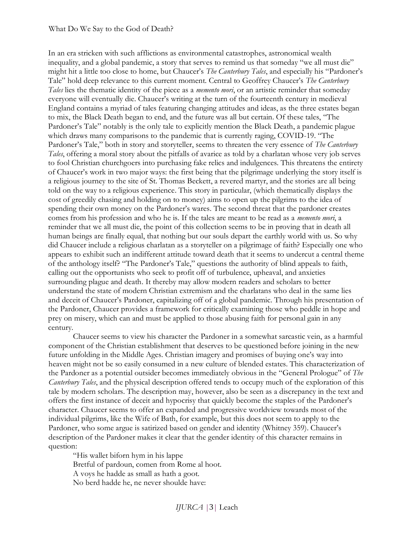In an era stricken with such afflictions as environmental catastrophes, astronomical wealth inequality, and a global pandemic, a story that serves to remind us that someday "we all must die" might hit a little too close to home, but Chaucer's *The Canterbury Tales*, and especially his "Pardoner's Tale" hold deep relevance to this current moment. Central to Geoffrey Chaucer's *The Canterbury Tales* lies the thematic identity of the piece as a *memento mori*, or an artistic reminder that someday everyone will eventually die. Chaucer's writing at the turn of the fourteenth century in medieval England contains a myriad of tales featuring changing attitudes and ideas, as the three estates began to mix, the Black Death began to end, and the future was all but certain. Of these tales, "The Pardoner's Tale" notably is the only tale to explicitly mention the Black Death, a pandemic plague which draws many comparisons to the pandemic that is currently raging, COVID-19. "The Pardoner's Tale," both in story and storyteller, seems to threaten the very essence of *The Canterbury Tales*, offering a moral story about the pitfalls of avarice as told by a charlatan whose very job serves to fool Christian churchgoers into purchasing fake relics and indulgences. This threatens the entirety of Chaucer's work in two major ways: the first being that the pilgrimage underlying the story itself is a religious journey to the site of St. Thomas Beckett, a revered martyr, and the stories are all being told on the way to a religious experience. This story in particular, (which thematically displays the cost of greedily chasing and holding on to money) aims to open up the pilgrims to the idea of spending their own money on the Pardoner's wares. The second threat that the pardoner creates comes from his profession and who he is. If the tales are meant to be read as a *memento mori*, a reminder that we all must die, the point of this collection seems to be in proving that in death all human beings are finally equal, that nothing but our souls depart the earthly world with us. So why did Chaucer include a religious charlatan as a storyteller on a pilgrimage of faith? Especially one who appears to exhibit such an indifferent attitude toward death that it seems to undercut a central theme of the anthology itself? "The Pardoner's Tale," questions the authority of blind appeals to faith, calling out the opportunists who seek to profit off of turbulence, upheaval, and anxieties surrounding plague and death. It thereby may allow modern readers and scholars to better understand the state of modern Christian extremism and the charlatans who deal in the same lies and deceit of Chaucer's Pardoner, capitalizing off of a global pandemic. Through his presentation of the Pardoner, Chaucer provides a framework for critically examining those who peddle in hope and prey on misery, which can and must be applied to those abusing faith for personal gain in any century.

Chaucer seems to view his character the Pardoner in a somewhat sarcastic vein, as a harmful component of the Christian establishment that deserves to be questioned before joining in the new future unfolding in the Middle Ages. Christian imagery and promises of buying one's way into heaven might not be so easily consumed in a new culture of blended estates. This characterization of the Pardoner as a potential outsider becomes immediately obvious in the "General Prologue" of *The Canterbury Tales*, and the physical description offered tends to occupy much of the exploration of this tale by modern scholars. The description may, however, also be seen as a discrepancy in the text and offers the first instance of deceit and hypocrisy that quickly become the staples of the Pardoner's character. Chaucer seems to offer an expanded and progressive worldview towards most of the individual pilgrims, like the Wife of Bath, for example, but this does not seem to apply to the Pardoner, who some argue is satirized based on gender and identity (Whitney 359). Chaucer's description of the Pardoner makes it clear that the gender identity of this character remains in question:

"His wallet biforn hym in his lappe Bretful of pardoun, comen from Rome al hoot. A voys he hadde as small as hath a goot. No berd hadde he, ne never shoulde have: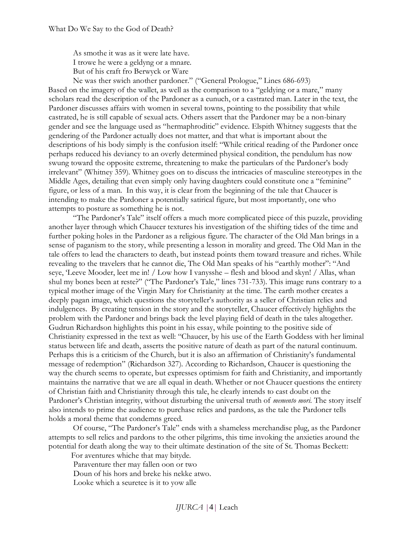As smothe it was as it were late have. I trowe he were a geldyng or a mnare. But of his craft fro Berwyck or Ware

Ne was ther swich another pardoner." ("General Prologue," Lines 686-693) Based on the imagery of the wallet, as well as the comparison to a "geldying or a mare," many scholars read the description of the Pardoner as a eunuch, or a castrated man. Later in the text, the Pardoner discusses affairs with women in several towns, pointing to the possibility that while castrated, he is still capable of sexual acts. Others assert that the Pardoner may be a non-binary gender and see the language used as "hermaphroditic" evidence. Elspith Whitney suggests that the gendering of the Pardoner actually does not matter, and that what is important about the descriptions of his body simply is the confusion itself: "While critical reading of the Pardoner once perhaps reduced his deviancy to an overly determined physical condition, the pendulum has now swung toward the opposite extreme, threatening to make the particulars of the Pardoner's body irrelevant" (Whitney 359). Whitney goes on to discuss the intricacies of masculine stereotypes in the Middle Ages, detailing that even simply only having daughters could constitute one a "feminine" figure, or less of a man. In this way, it is clear from the beginning of the tale that Chaucer is intending to make the Pardoner a potentially satirical figure, but most importantly, one who attempts to posture as something he is not.

"The Pardoner's Tale" itself offers a much more complicated piece of this puzzle, providing another layer through which Chaucer textures his investigation of the shifting tides of the time and further poking holes in the Pardoner as a religious figure. The character of the Old Man brings in a sense of paganism to the story, while presenting a lesson in morality and greed. The Old Man in the tale offers to lead the characters to death, but instead points them toward treasure and riches. While revealing to the travelers that he cannot die, The Old Man speaks of his "earthly mother": "And seye, 'Leeve Mooder, leet me in! / Low how I vanysshe – flesh and blood and skyn! / Allas, whan shul my bones been at reste?" ("The Pardoner's Tale," lines 731-733). This image runs contrary to a typical mother image of the Virgin Mary for Christianity at the time. The earth mother creates a deeply pagan image, which questions the storyteller's authority as a seller of Christian relics and indulgences. By creating tension in the story and the storyteller, Chaucer effectively highlights the problem with the Pardoner and brings back the level playing field of death in the tales altogether. Gudrun Richardson highlights this point in his essay, while pointing to the positive side of Christianity expressed in the text as well: "Chaucer, by his use of the Earth Goddess with her liminal status between life and death, asserts the positive nature of death as part of the natural continuum. Perhaps this is a criticism of the Church, but it is also an affirmation of Christianity's fundamental message of redemption" (Richardson 327). According to Richardson, Chaucer is questioning the way the church seems to operate, but expresses optimism for faith and Christianity, and importantly maintains the narrative that we are all equal in death. Whether or not Chaucer questions the entirety of Christian faith and Christianity through this tale, he clearly intends to cast doubt on the Pardoner's Christian integrity, without disturbing the universal truth of *memento mori*. The story itself also intends to prime the audience to purchase relics and pardons, as the tale the Pardoner tells holds a moral theme that condemns greed.

Of course, "The Pardoner's Tale" ends with a shameless merchandise plug, as the Pardoner attempts to sell relics and pardons to the other pilgrims, this time invoking the anxieties around the potential for death along the way to their ultimate destination of the site of St. Thomas Beckett:

For aventures whiche that may bityde. Paraventure ther may fallen oon or two Doun of his hors and breke his nekke atwo. Looke which a seuretee is it to yow alle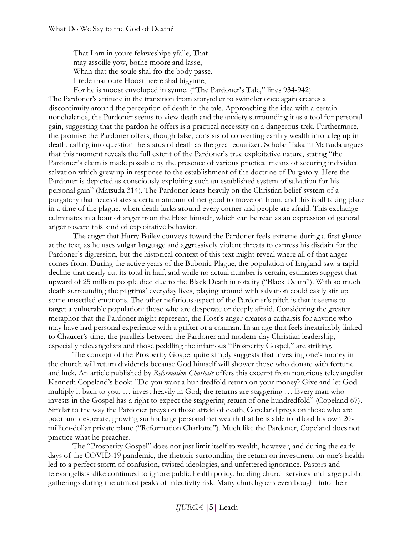That I am in youre felaweshipe yfalle, That may assoille yow, bothe moore and lasse, Whan that the soule shal fro the body passe. I rede that oure Hoost heere shal bigynne,

For he is moost envoluped in synne. ("The Pardoner's Tale," lines 934-942) The Pardoner's attitude in the transition from storyteller to swindler once again creates a discontinuity around the perception of death in the tale. Approaching the idea with a certain nonchalance, the Pardoner seems to view death and the anxiety surrounding it as a tool for personal gain, suggesting that the pardon he offers is a practical necessity on a dangerous trek. Furthermore, the promise the Pardoner offers, though false, consists of converting earthly wealth into a leg up in death, calling into question the status of death as the great equalizer. Scholar Takami Matsuda argues that this moment reveals the full extent of the Pardoner's true exploitative nature, stating "the Pardoner's claim is made possible by the presence of various practical means of securing individual salvation which grew up in response to the establishment of the doctrine of Purgatory. Here the Pardoner is depicted as consciously exploiting such an established system of salvation for his personal gain" (Matsuda 314). The Pardoner leans heavily on the Christian belief system of a purgatory that necessitates a certain amount of net good to move on from, and this is all taking place in a time of the plague, when death lurks around every corner and people are afraid. This exchange culminates in a bout of anger from the Host himself, which can be read as an expression of general anger toward this kind of exploitative behavior.

The anger that Harry Bailey conveys toward the Pardoner feels extreme during a first glance at the text, as he uses vulgar language and aggressively violent threats to express his disdain for the Pardoner's digression, but the historical context of this text might reveal where all of that anger comes from. During the active years of the Bubonic Plague, the population of England saw a rapid decline that nearly cut its total in half, and while no actual number is certain, estimates suggest that upward of 25 million people died due to the Black Death in totality ("Black Death"). With so much death surrounding the pilgrims' everyday lives, playing around with salvation could easily stir up some unsettled emotions. The other nefarious aspect of the Pardoner's pitch is that it seems to target a vulnerable population: those who are desperate or deeply afraid. Considering the greater metaphor that the Pardoner might represent, the Host's anger creates a catharsis for anyone who may have had personal experience with a grifter or a conman. In an age that feels inextricably linked to Chaucer's time, the parallels between the Pardoner and modern-day Christian leadership, especially televangelists and those peddling the infamous "Prosperity Gospel," are striking.

The concept of the Prosperity Gospel quite simply suggests that investing one's money in the church will return dividends because God himself will shower those who donate with fortune and luck. An article published by *Reformation Charlotte* offers this excerpt from notorious televangelist Kenneth Copeland's book: "Do you want a hundredfold return on your money? Give and let God multiply it back to you. … invest heavily in God; the returns are staggering … Every man who invests in the Gospel has a right to expect the staggering return of one hundredfold" (Copeland 67). Similar to the way the Pardoner preys on those afraid of death, Copeland preys on those who are poor and desperate, growing such a large personal net wealth that he is able to afford his own 20 million-dollar private plane ("Reformation Charlotte"). Much like the Pardoner, Copeland does not practice what he preaches.

The "Prosperity Gospel" does not just limit itself to wealth, however, and during the early days of the COVID-19 pandemic, the rhetoric surrounding the return on investment on one's health led to a perfect storm of confusion, twisted ideologies, and unfettered ignorance. Pastors and televangelists alike continued to ignore public health policy, holding church services and large public gatherings during the utmost peaks of infectivity risk. Many churchgoers even bought into their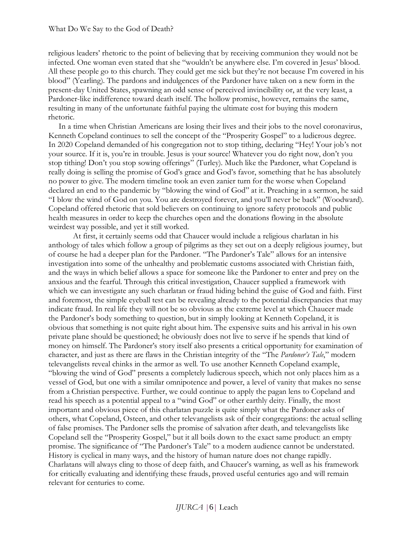religious leaders' rhetoric to the point of believing that by receiving communion they would not be infected. One woman even stated that she "wouldn't be anywhere else. I'm covered in Jesus' blood. All these people go to this church. They could get me sick but they're not because I'm covered in his blood" (Yearling). The pardons and indulgences of the Pardoner have taken on a new form in the present-day United States, spawning an odd sense of perceived invincibility or, at the very least, a Pardoner-like indifference toward death itself. The hollow promise, however, remains the same, resulting in many of the unfortunate faithful paying the ultimate cost for buying this modern rhetoric.

In a time when Christian Americans are losing their lives and their jobs to the novel coronavirus, Kenneth Copeland continues to sell the concept of the "Prosperity Gospel" to a ludicrous degree. In 2020 Copeland demanded of his congregation not to stop tithing, declaring "Hey! Your job's not your source. If it is, you're in trouble. Jesus is your source! Whatever you do right now, don't you stop tithing! Don't you stop sowing offerings" (Turley). Much like the Pardoner, what Copeland is really doing is selling the promise of God's grace and God's favor, something that he has absolutely no power to give. The modern timeline took an even zanier turn for the worse when Copeland declared an end to the pandemic by "blowing the wind of God" at it. Preaching in a sermon, he said "I blow the wind of God on you. You are destroyed forever, and you'll never be back" (Woodward). Copeland offered rhetoric that sold believers on continuing to ignore safety protocols and public health measures in order to keep the churches open and the donations flowing in the absolute weirdest way possible, and yet it still worked.

At first, it certainly seems odd that Chaucer would include a religious charlatan in his anthology of tales which follow a group of pilgrims as they set out on a deeply religious journey, but of course he had a deeper plan for the Pardoner. "The Pardoner's Tale" allows for an intensive investigation into some of the unhealthy and problematic customs associated with Christian faith, and the ways in which belief allows a space for someone like the Pardoner to enter and prey on the anxious and the fearful. Through this critical investigation, Chaucer supplied a framework with which we can investigate any such charlatan or fraud hiding behind the guise of God and faith. First and foremost, the simple eyeball test can be revealing already to the potential discrepancies that may indicate fraud. In real life they will not be so obvious as the extreme level at which Chaucer made the Pardoner's body something to question, but in simply looking at Kenneth Copeland, it is obvious that something is not quite right about him. The expensive suits and his arrival in his own private plane should be questioned; he obviously does not live to serve if he spends that kind of money on himself. The Pardoner's story itself also presents a critical opportunity for examination of character, and just as there are flaws in the Christian integrity of the "The *Pardoner's Tale*," modern televangelists reveal chinks in the armor as well. To use another Kenneth Copeland example, "blowing the wind of God" presents a completely ludicrous speech, which not only places him as a vessel of God, but one with a similar omnipotence and power, a level of vanity that makes no sense from a Christian perspective. Further, we could continue to apply the pagan lens to Copeland and read his speech as a potential appeal to a "wind God" or other earthly deity. Finally, the most important and obvious piece of this charlatan puzzle is quite simply what the Pardoner asks of others, what Copeland, Osteen, and other televangelists ask of their congregations: the actual selling of false promises. The Pardoner sells the promise of salvation after death, and televangelists like Copeland sell the "Prosperity Gospel," but it all boils down to the exact same product: an empty promise. The significance of "The Pardoner's Tale" to a modern audience cannot be understated. History is cyclical in many ways, and the history of human nature does not change rapidly. Charlatans will always cling to those of deep faith, and Chaucer's warning, as well as his framework for critically evaluating and identifying these frauds, proved useful centuries ago and will remain relevant for centuries to come.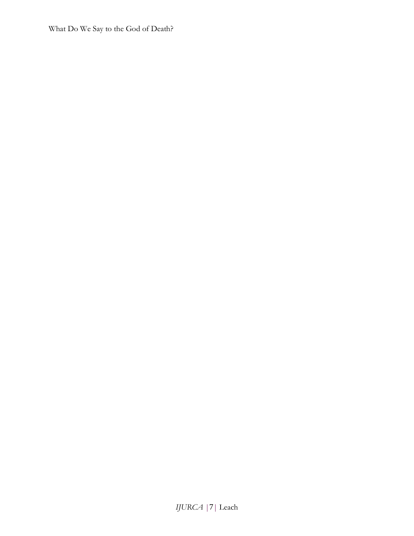What Do We Say to the God of Death?